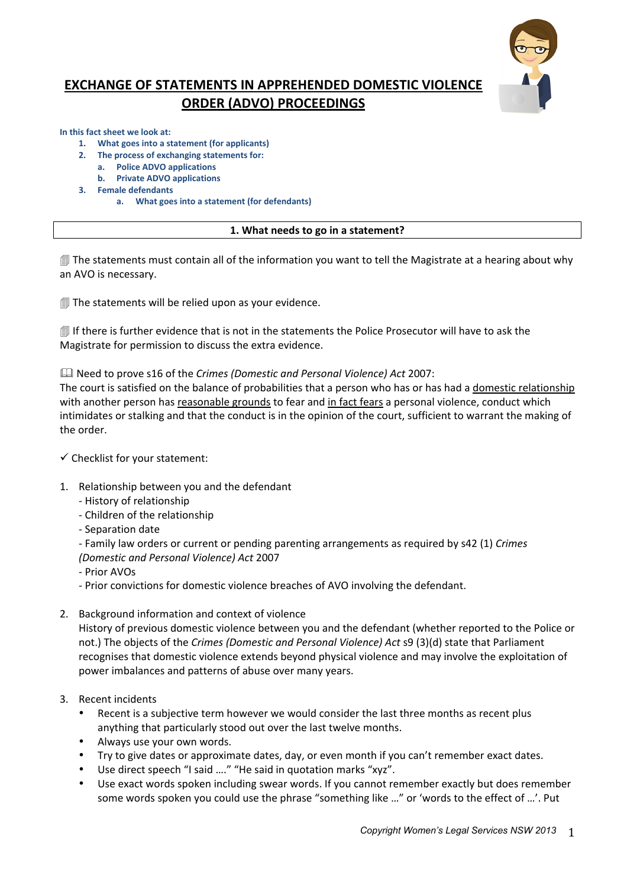

# **EXCHANGE OF STATEMENTS IN APPREHENDED DOMESTIC VIOLENCE ORDER (ADVO) PROCEEDINGS**

#### In this fact sheet we look at:

- 1. What goes into a statement (for applicants)
- **2.** The process of exchanging statements for:
	- **a. Police ADVO applications**
	- **b. Private ADVO applications**
- **3. Female defendants**
	- a. What goes into a statement (for defendants)

#### **1.** What needs to go in a statement?

**The statements must contain all of the information you want to tell the Magistrate at a hearing about why** an AVO is necessary.

 $\Box$  The statements will be relied upon as your evidence.

**If there is further evidence that is not in the statements the Police Prosecutor will have to ask the** Magistrate for permission to discuss the extra evidence.

#### **E** Need to prove s16 of the *Crimes* (Domestic and Personal Violence) Act 2007:

The court is satisfied on the balance of probabilities that a person who has or has had a domestic relationship with another person has reasonable grounds to fear and in fact fears a personal violence, conduct which intimidates or stalking and that the conduct is in the opinion of the court, sufficient to warrant the making of the order.

#### $\checkmark$  Checklist for your statement:

1. Relationship between you and the defendant

#### - History of relationship

- Children of the relationship
- Separation date

- Family law orders or current or pending parenting arrangements as required by s42 (1) *Crimes (Domestic and Personal Violence) Act* 2007

- Prior AVOs
- Prior convictions for domestic violence breaches of AVO involving the defendant.
- 2. Background information and context of violence

History of previous domestic violence between you and the defendant (whether reported to the Police or not.) The objects of the *Crimes (Domestic and Personal Violence) Act* s9 (3)(d) state that Parliament recognises that domestic violence extends beyond physical violence and may involve the exploitation of power imbalances and patterns of abuse over many years.

- 3. Recent incidents
	- Recent is a subjective term however we would consider the last three months as recent plus anything that particularly stood out over the last twelve months.
	- Always use your own words.
	- Try to give dates or approximate dates, day, or even month if you can't remember exact dates.
	- Use direct speech "I said ...." "He said in quotation marks "xyz".
	- Use exact words spoken including swear words. If you cannot remember exactly but does remember some words spoken you could use the phrase "something like ..." or 'words to the effect of ...'. Put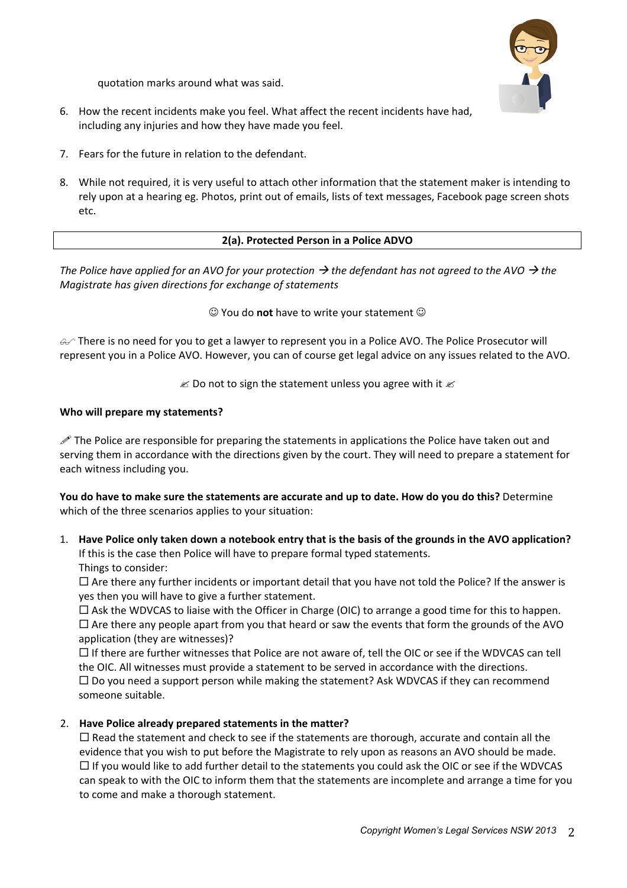

quotation marks around what was said.

- 6. How the recent incidents make you feel. What affect the recent incidents have had, including any injuries and how they have made you feel.
- 7. Fears for the future in relation to the defendant.
- 8. While not required, it is very useful to attach other information that the statement maker is intending to rely upon at a hearing eg. Photos, print out of emails, lists of text messages, Facebook page screen shots etc.

#### 2(a). Protected Person in a Police ADVO

*The Police have applied for an AVO for your protection*  $\rightarrow$  the defendant has not agreed to the AVO  $\rightarrow$  the *Magistrate has given directions for exchange of statements* 

 $\odot$  You do **not** have to write your statement  $\odot$ 

 $\mathcal{A}$  There is no need for you to get a lawyer to represent you in a Police AVO. The Police Prosecutor will represent you in a Police AVO. However, you can of course get legal advice on any issues related to the AVO.

 $\mathscr{\mathscr{E}}$  Do not to sign the statement unless you agree with it  $\mathscr{\mathscr{E}}$ 

#### **Who will prepare my statements?**

The Police are responsible for preparing the statements in applications the Police have taken out and serving them in accordance with the directions given by the court. They will need to prepare a statement for each witness including you.

**You do have to make sure the statements are accurate and up to date. How do you do this?** Determine which of the three scenarios applies to your situation:

- 1. Have Police only taken down a notebook entry that is the basis of the grounds in the AVO application? If this is the case then Police will have to prepare formal typed statements.
	- Things to consider:

 $\Box$  Are there any further incidents or important detail that you have not told the Police? If the answer is yes then you will have to give a further statement.

 $\Box$  Ask the WDVCAS to liaise with the Officer in Charge (OIC) to arrange a good time for this to happen.  $\Box$  Are there any people apart from you that heard or saw the events that form the grounds of the AVO application (they are witnesses)?

 $\Box$  If there are further witnesses that Police are not aware of, tell the OIC or see if the WDVCAS can tell the OIC. All witnesses must provide a statement to be served in accordance with the directions.  $\Box$  Do you need a support person while making the statement? Ask WDVCAS if they can recommend someone suitable.

### 2. Have Police already prepared statements in the matter?

 $\Box$  Read the statement and check to see if the statements are thorough, accurate and contain all the evidence that you wish to put before the Magistrate to rely upon as reasons an AVO should be made.  $\Box$  If you would like to add further detail to the statements you could ask the OIC or see if the WDVCAS can speak to with the OIC to inform them that the statements are incomplete and arrange a time for you to come and make a thorough statement.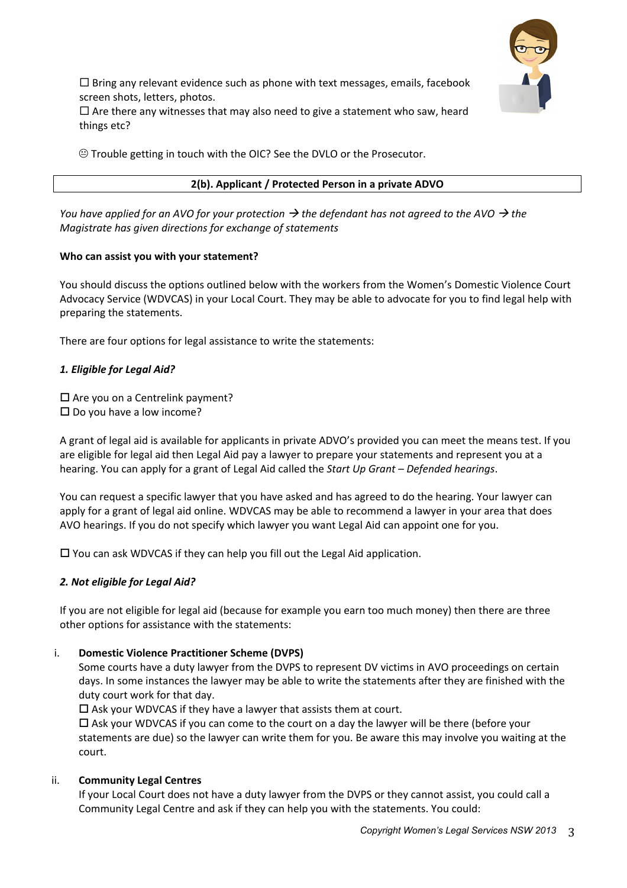

 $\square$  Bring any relevant evidence such as phone with text messages, emails, facebook screen shots, letters, photos.

 $\Box$  Are there any witnesses that may also need to give a statement who saw, heard things etc?

 $\odot$  Trouble getting in touch with the OIC? See the DVLO or the Prosecutor.

## **2(b). Applicant / Protected Person in a private ADVO**

*You have applied for an AVO for your protection*  $\rightarrow$  the defendant has not agreed to the AVO  $\rightarrow$  the *Magistrate has given directions for exchange of statements* 

### Who can assist you with your statement?

You should discuss the options outlined below with the workers from the Women's Domestic Violence Court Advocacy Service (WDVCAS) in your Local Court. They may be able to advocate for you to find legal help with preparing the statements.

There are four options for legal assistance to write the statements:

# *1. Eligible for Legal Aid?*

 $\square$  Are you on a Centrelink payment?  $\square$  Do you have a low income?

A grant of legal aid is available for applicants in private ADVO's provided you can meet the means test. If you are eligible for legal aid then Legal Aid pay a lawyer to prepare your statements and represent you at a hearing. You can apply for a grant of Legal Aid called the *Start Up Grant* – Defended hearings.

You can request a specific lawyer that you have asked and has agreed to do the hearing. Your lawyer can apply for a grant of legal aid online. WDVCAS may be able to recommend a lawyer in your area that does AVO hearings. If you do not specify which lawyer you want Legal Aid can appoint one for you.

 $\Box$  You can ask WDVCAS if they can help you fill out the Legal Aid application.

### *2. Not eligible for Legal Aid?*

If you are not eligible for legal aid (because for example you earn too much money) then there are three other options for assistance with the statements:

### i. **Domestic Violence Practitioner Scheme (DVPS)**

Some courts have a duty lawyer from the DVPS to represent DV victims in AVO proceedings on certain days. In some instances the lawyer may be able to write the statements after they are finished with the duty court work for that day.

 $\square$  Ask your WDVCAS if they have a lawyer that assists them at court.

 $\Box$  Ask your WDVCAS if you can come to the court on a day the lawyer will be there (before your statements are due) so the lawyer can write them for you. Be aware this may involve you waiting at the court.

### ii. **Community Legal Centres**

If your Local Court does not have a duty lawyer from the DVPS or they cannot assist, you could call a Community Legal Centre and ask if they can help you with the statements. You could: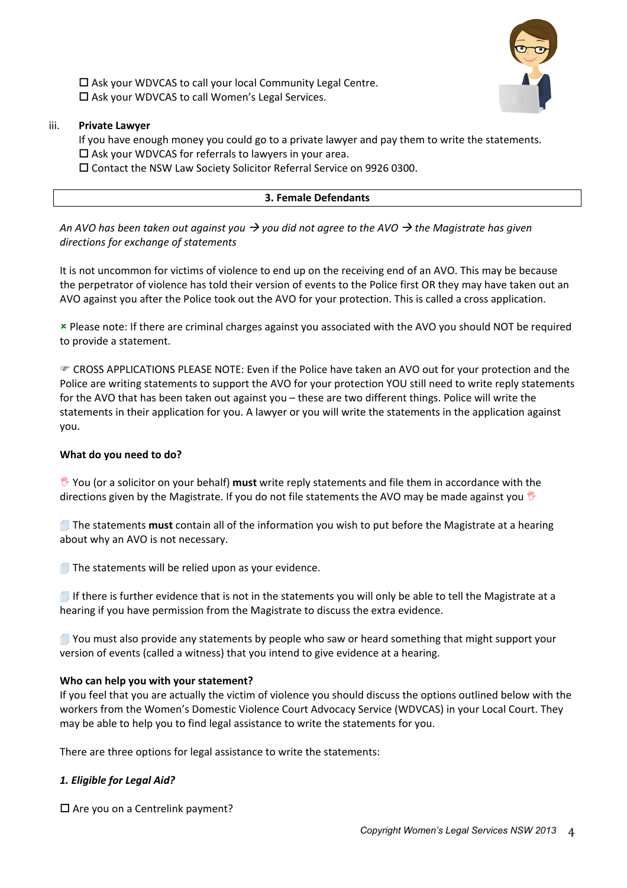

 $\Box$  Ask your WDVCAS to call your local Community Legal Centre.  $\square$  Ask your WDVCAS to call Women's Legal Services.

#### iii. **Private Lawyer**

If you have enough money you could go to a private lawyer and pay them to write the statements.  $\Box$  Ask your WDVCAS for referrals to lawyers in your area.

 $\square$  Contact the NSW Law Society Solicitor Referral Service on 9926 0300.

#### **3. Female Defendants**

*An* AVO has been taken out against you  $\rightarrow$  you did not agree to the AVO  $\rightarrow$  the Magistrate has given *directions for exchange of statements*

It is not uncommon for victims of violence to end up on the receiving end of an AVO. This may be because the perpetrator of violence has told their version of events to the Police first OR they may have taken out an AVO against you after the Police took out the AVO for your protection. This is called a cross application.

**\*** Please note: If there are criminal charges against you associated with the AVO you should NOT be required to provide a statement.

 $\degree$  CROSS APPLICATIONS PLEASE NOTE: Even if the Police have taken an AVO out for your protection and the Police are writing statements to support the AVO for your protection YOU still need to write reply statements for the AVO that has been taken out against you – these are two different things. Police will write the statements in their application for you. A lawyer or you will write the statements in the application against you.

### **What do you need to do?**

You (or a solicitor on your behalf) **must** write reply statements and file them in accordance with the directions given by the Magistrate. If you do not file statements the AVO may be made against you  $\mathcal{V}$ 

**The statements must contain all of the information you wish to put before the Magistrate at a hearing** about why an AVO is not necessary.

 $\Box$  The statements will be relied upon as your evidence.

 $\Box$  If there is further evidence that is not in the statements you will only be able to tell the Magistrate at a hearing if you have permission from the Magistrate to discuss the extra evidence.

 $\blacksquare$  You must also provide any statements by people who saw or heard something that might support your version of events (called a witness) that you intend to give evidence at a hearing.

### Who can help you with your statement?

If you feel that you are actually the victim of violence you should discuss the options outlined below with the workers from the Women's Domestic Violence Court Advocacy Service (WDVCAS) in your Local Court. They may be able to help you to find legal assistance to write the statements for you.

There are three options for legal assistance to write the statements:

### *1. Eligible for Legal Aid?*

 $\Box$  Are you on a Centrelink payment?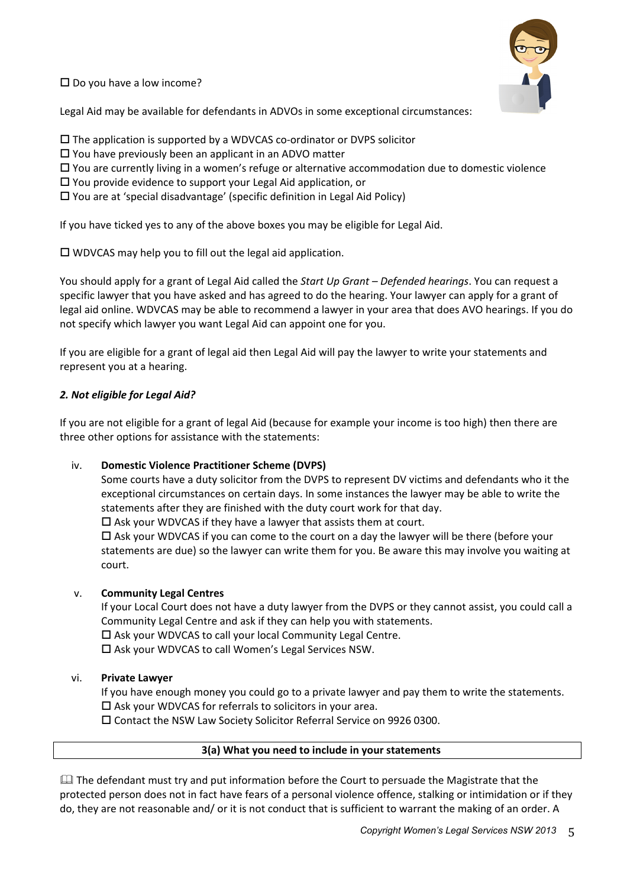$\square$  Do you have a low income?

Legal Aid may be available for defendants in ADVOs in some exceptional circumstances:

 $\square$  The application is supported by a WDVCAS co-ordinator or DVPS solicitor

- $\square$  You have previously been an applicant in an ADVO matter
- $\Box$  You are currently living in a women's refuge or alternative accommodation due to domestic violence
- $\Box$  You provide evidence to support your Legal Aid application, or

 $\Box$  You are at 'special disadvantage' (specific definition in Legal Aid Policy)

If you have ticked yes to any of the above boxes you may be eligible for Legal Aid.

 $\Box$  WDVCAS may help you to fill out the legal aid application.

You should apply for a grant of Legal Aid called the *Start Up Grant* – Defended hearings. You can request a specific lawyer that you have asked and has agreed to do the hearing. Your lawyer can apply for a grant of legal aid online. WDVCAS may be able to recommend a lawyer in your area that does AVO hearings. If you do not specify which lawyer you want Legal Aid can appoint one for you.

If you are eligible for a grant of legal aid then Legal Aid will pay the lawyer to write your statements and represent you at a hearing.

#### *2. Not eligible for Legal Aid?*

If you are not eligible for a grant of legal Aid (because for example your income is too high) then there are three other options for assistance with the statements:

#### iv. **Domestic Violence Practitioner Scheme (DVPS)**

Some courts have a duty solicitor from the DVPS to represent DV victims and defendants who it the exceptional circumstances on certain days. In some instances the lawyer may be able to write the statements after they are finished with the duty court work for that day.

 $\Box$  Ask your WDVCAS if they have a lawyer that assists them at court.

 $\Box$  Ask your WDVCAS if you can come to the court on a day the lawyer will be there (before your statements are due) so the lawyer can write them for you. Be aware this may involve you waiting at court.

#### v. **Community Legal Centres**

If your Local Court does not have a duty lawyer from the DVPS or they cannot assist, you could call a Community Legal Centre and ask if they can help you with statements.

 $\Box$  Ask your WDVCAS to call your local Community Legal Centre.

 $\square$  Ask your WDVCAS to call Women's Legal Services NSW.

#### vi. **Private Lawyer**

If you have enough money you could go to a private lawyer and pay them to write the statements.

 $\Box$  Ask your WDVCAS for referrals to solicitors in your area.

 $\square$  Contact the NSW Law Society Solicitor Referral Service on 9926 0300.

#### **3(a)** What you need to include in your statements

 $\Box$  The defendant must try and put information before the Court to persuade the Magistrate that the protected person does not in fact have fears of a personal violence offence, stalking or intimidation or if they do, they are not reasonable and/ or it is not conduct that is sufficient to warrant the making of an order. A